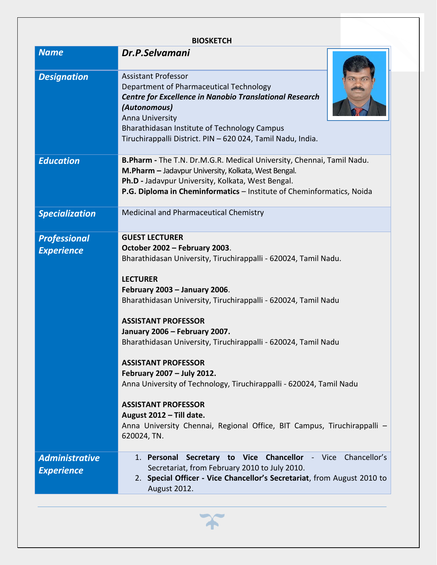| <b>BIOSKETCH</b>                           |                                                                                                                                                                                                                                                                                                                                                                                                                                                                                                                                                                                                                                                                         |
|--------------------------------------------|-------------------------------------------------------------------------------------------------------------------------------------------------------------------------------------------------------------------------------------------------------------------------------------------------------------------------------------------------------------------------------------------------------------------------------------------------------------------------------------------------------------------------------------------------------------------------------------------------------------------------------------------------------------------------|
| <b>Name</b>                                | Dr.P.Selvamani                                                                                                                                                                                                                                                                                                                                                                                                                                                                                                                                                                                                                                                          |
| <b>Designation</b>                         | <b>Assistant Professor</b><br>Department of Pharmaceutical Technology<br><b>Centre for Excellence in Nanobio Translational Research</b><br>(Autonomous)<br>Anna University<br>Bharathidasan Institute of Technology Campus<br>Tiruchirappalli District. PIN - 620 024, Tamil Nadu, India.                                                                                                                                                                                                                                                                                                                                                                               |
| <b>Education</b>                           | B. Pharm - The T.N. Dr.M.G.R. Medical University, Chennai, Tamil Nadu.<br>M.Pharm - Jadavpur University, Kolkata, West Bengal.<br>Ph.D - Jadavpur University, Kolkata, West Bengal.<br>P.G. Diploma in Cheminformatics - Institute of Cheminformatics, Noida                                                                                                                                                                                                                                                                                                                                                                                                            |
| <b>Specialization</b>                      | Medicinal and Pharmaceutical Chemistry                                                                                                                                                                                                                                                                                                                                                                                                                                                                                                                                                                                                                                  |
| <b>Professional</b><br><b>Experience</b>   | <b>GUEST LECTURER</b><br>October 2002 - February 2003.<br>Bharathidasan University, Tiruchirappalli - 620024, Tamil Nadu.<br><b>LECTURER</b><br>February 2003 - January 2006.<br>Bharathidasan University, Tiruchirappalli - 620024, Tamil Nadu<br><b>ASSISTANT PROFESSOR</b><br>January 2006 - February 2007.<br>Bharathidasan University, Tiruchirappalli - 620024, Tamil Nadu<br><b>ASSISTANT PROFESSOR</b><br>February 2007 - July 2012.<br>Anna University of Technology, Tiruchirappalli - 620024, Tamil Nadu<br><b>ASSISTANT PROFESSOR</b><br>August 2012 - Till date.<br>Anna University Chennai, Regional Office, BIT Campus, Tiruchirappalli -<br>620024, TN. |
| <b>Administrative</b><br><b>Experience</b> | 1. Personal Secretary to Vice Chancellor - Vice Chancellor's<br>Secretariat, from February 2010 to July 2010.<br>2. Special Officer - Vice Chancellor's Secretariat, from August 2010 to<br>August 2012.                                                                                                                                                                                                                                                                                                                                                                                                                                                                |

 $\boldsymbol{\gamma}$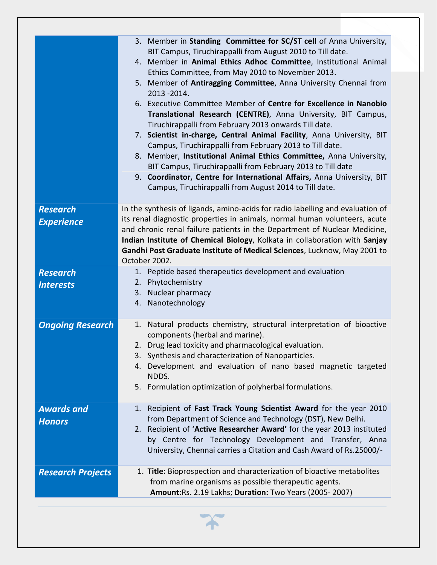|                          | 3. Member in Standing Committee for SC/ST cell of Anna University,<br>BIT Campus, Tiruchirappalli from August 2010 to Till date.<br>4. Member in Animal Ethics Adhoc Committee, Institutional Animal<br>Ethics Committee, from May 2010 to November 2013.<br>5. Member of Antiragging Committee, Anna University Chennai from<br>2013-2014.<br>6. Executive Committee Member of Centre for Excellence in Nanobio<br>Translational Research (CENTRE), Anna University, BIT Campus,<br>Tiruchirappalli from February 2013 onwards Till date.<br>7. Scientist in-charge, Central Animal Facility, Anna University, BIT<br>Campus, Tiruchirappalli from February 2013 to Till date.<br>8. Member, Institutional Animal Ethics Committee, Anna University,<br>BIT Campus, Tiruchirappalli from February 2013 to Till date<br>9. Coordinator, Centre for International Affairs, Anna University, BIT<br>Campus, Tiruchirappalli from August 2014 to Till date. |
|--------------------------|----------------------------------------------------------------------------------------------------------------------------------------------------------------------------------------------------------------------------------------------------------------------------------------------------------------------------------------------------------------------------------------------------------------------------------------------------------------------------------------------------------------------------------------------------------------------------------------------------------------------------------------------------------------------------------------------------------------------------------------------------------------------------------------------------------------------------------------------------------------------------------------------------------------------------------------------------------|
| <b>Research</b>          | In the synthesis of ligands, amino-acids for radio labelling and evaluation of                                                                                                                                                                                                                                                                                                                                                                                                                                                                                                                                                                                                                                                                                                                                                                                                                                                                           |
| <b>Experience</b>        | its renal diagnostic properties in animals, normal human volunteers, acute                                                                                                                                                                                                                                                                                                                                                                                                                                                                                                                                                                                                                                                                                                                                                                                                                                                                               |
|                          | and chronic renal failure patients in the Department of Nuclear Medicine,                                                                                                                                                                                                                                                                                                                                                                                                                                                                                                                                                                                                                                                                                                                                                                                                                                                                                |
|                          | Indian Institute of Chemical Biology, Kolkata in collaboration with Sanjay                                                                                                                                                                                                                                                                                                                                                                                                                                                                                                                                                                                                                                                                                                                                                                                                                                                                               |
|                          | Gandhi Post Graduate Institute of Medical Sciences, Lucknow, May 2001 to                                                                                                                                                                                                                                                                                                                                                                                                                                                                                                                                                                                                                                                                                                                                                                                                                                                                                 |
|                          | October 2002.<br>1. Peptide based therapeutics development and evaluation                                                                                                                                                                                                                                                                                                                                                                                                                                                                                                                                                                                                                                                                                                                                                                                                                                                                                |
| <b>Research</b>          | Phytochemistry<br>2.                                                                                                                                                                                                                                                                                                                                                                                                                                                                                                                                                                                                                                                                                                                                                                                                                                                                                                                                     |
| <b>Interests</b>         | 3. Nuclear pharmacy                                                                                                                                                                                                                                                                                                                                                                                                                                                                                                                                                                                                                                                                                                                                                                                                                                                                                                                                      |
|                          | Nanotechnology<br>4.                                                                                                                                                                                                                                                                                                                                                                                                                                                                                                                                                                                                                                                                                                                                                                                                                                                                                                                                     |
|                          |                                                                                                                                                                                                                                                                                                                                                                                                                                                                                                                                                                                                                                                                                                                                                                                                                                                                                                                                                          |
| <b>Ongoing Research</b>  | Natural products chemistry, structural interpretation of bioactive<br>1.                                                                                                                                                                                                                                                                                                                                                                                                                                                                                                                                                                                                                                                                                                                                                                                                                                                                                 |
|                          | components (herbal and marine).                                                                                                                                                                                                                                                                                                                                                                                                                                                                                                                                                                                                                                                                                                                                                                                                                                                                                                                          |
|                          | Drug lead toxicity and pharmacological evaluation.<br>2.                                                                                                                                                                                                                                                                                                                                                                                                                                                                                                                                                                                                                                                                                                                                                                                                                                                                                                 |
|                          | 3. Synthesis and characterization of Nanoparticles.                                                                                                                                                                                                                                                                                                                                                                                                                                                                                                                                                                                                                                                                                                                                                                                                                                                                                                      |
|                          | Development and evaluation of nano based magnetic targeted<br>4.<br>NDDS.                                                                                                                                                                                                                                                                                                                                                                                                                                                                                                                                                                                                                                                                                                                                                                                                                                                                                |
|                          | 5. Formulation optimization of polyherbal formulations.                                                                                                                                                                                                                                                                                                                                                                                                                                                                                                                                                                                                                                                                                                                                                                                                                                                                                                  |
|                          |                                                                                                                                                                                                                                                                                                                                                                                                                                                                                                                                                                                                                                                                                                                                                                                                                                                                                                                                                          |
| <b>Awards and</b>        | Recipient of Fast Track Young Scientist Award for the year 2010<br>1.                                                                                                                                                                                                                                                                                                                                                                                                                                                                                                                                                                                                                                                                                                                                                                                                                                                                                    |
| <b>Honors</b>            | from Department of Science and Technology (DST), New Delhi.                                                                                                                                                                                                                                                                                                                                                                                                                                                                                                                                                                                                                                                                                                                                                                                                                                                                                              |
|                          | 2. Recipient of 'Active Researcher Award' for the year 2013 instituted                                                                                                                                                                                                                                                                                                                                                                                                                                                                                                                                                                                                                                                                                                                                                                                                                                                                                   |
|                          | by Centre for Technology Development and Transfer, Anna<br>University, Chennai carries a Citation and Cash Award of Rs.25000/-                                                                                                                                                                                                                                                                                                                                                                                                                                                                                                                                                                                                                                                                                                                                                                                                                           |
|                          |                                                                                                                                                                                                                                                                                                                                                                                                                                                                                                                                                                                                                                                                                                                                                                                                                                                                                                                                                          |
| <b>Research Projects</b> | 1. Title: Bioprospection and characterization of bioactive metabolites                                                                                                                                                                                                                                                                                                                                                                                                                                                                                                                                                                                                                                                                                                                                                                                                                                                                                   |
|                          | from marine organisms as possible therapeutic agents.                                                                                                                                                                                                                                                                                                                                                                                                                                                                                                                                                                                                                                                                                                                                                                                                                                                                                                    |
|                          | Amount:Rs. 2.19 Lakhs; Duration: Two Years (2005-2007)                                                                                                                                                                                                                                                                                                                                                                                                                                                                                                                                                                                                                                                                                                                                                                                                                                                                                                   |
|                          |                                                                                                                                                                                                                                                                                                                                                                                                                                                                                                                                                                                                                                                                                                                                                                                                                                                                                                                                                          |

 $\boldsymbol{\varkappa}$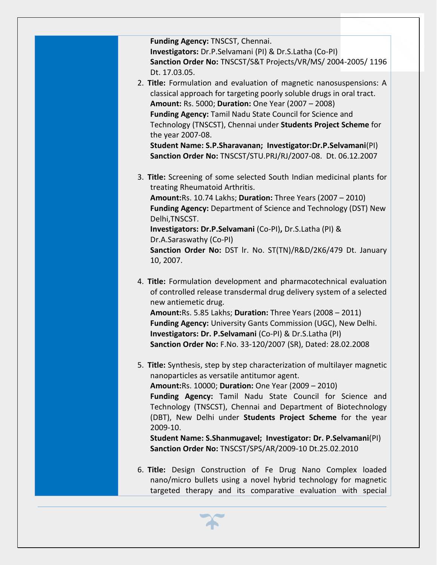**Funding Agency:** TNSCST, Chennai. **Investigators:** Dr.P.Selvamani (PI) & Dr.S.Latha (Co-PI) **Sanction Order No:** TNSCST/S&T Projects/VR/MS/ 2004-2005/ 1196 Dt. 17.03.05.

2. **Title:** Formulation and evaluation of magnetic nanosuspensions: A classical approach for targeting poorly soluble drugs in oral tract. **Amount:** Rs. 5000; **Duration:** One Year (2007 – 2008) **Funding Agency:** Tamil Nadu State Council for Science and Technology (TNSCST), Chennai under **Students Project Scheme** for the year 2007-08. **Student Name: S.P.Sharavanan; Investigator:Dr.P.Selvamani**(PI)

**Sanction Order No:** TNSCST/STU.PRJ/RJ/2007-08. Dt. 06.12.2007

3. **Title:** Screening of some selected South Indian medicinal plants for treating Rheumatoid Arthritis. **Amount:**Rs. 10.74 Lakhs; **Duration:** Three Years (2007 – 2010)

**Funding Agency:** Department of Science and Technology (DST) New Delhi,TNSCST.

**Investigators: Dr.P.Selvamani** (Co-PI)**,** Dr.S.Latha (PI) & Dr.A.Saraswathy (Co-PI) **Sanction Order No:** DST lr. No. ST(TN)/R&D/2K6/479 Dt. January

10, 2007.

- 4. **Title:** Formulation development and pharmacotechnical evaluation of controlled release transdermal drug delivery system of a selected new antiemetic drug. **Amount:**Rs. 5.85 Lakhs; **Duration:** Three Years (2008 – 2011) **Funding Agency:** University Gants Commission (UGC), New Delhi. **Investigators: Dr. P.Selvamani** (Co-PI) & Dr.S.Latha (PI) **Sanction Order No:** F.No. 33-120/2007 (SR), Dated: 28.02.2008
- 5. **Title:** Synthesis, step by step characterization of multilayer magnetic nanoparticles as versatile antitumor agent. **Amount:**Rs. 10000; **Duration:** One Year (2009 – 2010) **Funding Agency:** Tamil Nadu State Council for Science and Technology (TNSCST), Chennai and Department of Biotechnology (DBT), New Delhi under **Students Project Scheme** for the year 2009-10. **Student Name: S.Shanmugavel; Investigator: Dr. P.Selvamani**(PI)

**Sanction Order No:** TNSCST/SPS/AR/2009-10 Dt.25.02.2010

6. **Title:** Design Construction of Fe Drug Nano Complex loaded nano/micro bullets using a novel hybrid technology for magnetic targeted therapy and its comparative evaluation with special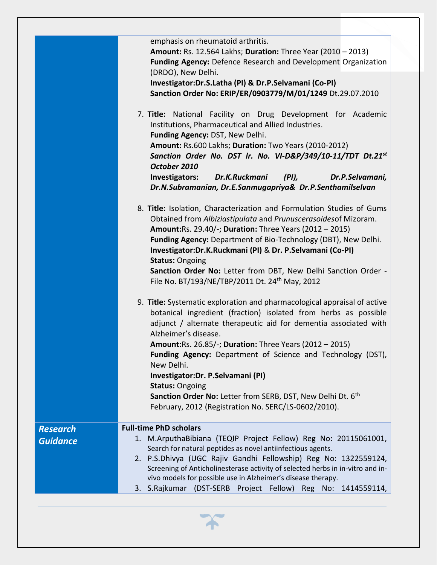|                 | emphasis on rheumatoid arthritis.<br><b>Amount: Rs. 12.564 Lakhs; Duration: Three Year (2010 - 2013)</b><br>Funding Agency: Defence Research and Development Organization                                                                                                                                                                                                                                                                                                                    |
|-----------------|----------------------------------------------------------------------------------------------------------------------------------------------------------------------------------------------------------------------------------------------------------------------------------------------------------------------------------------------------------------------------------------------------------------------------------------------------------------------------------------------|
|                 | (DRDO), New Delhi.<br>Investigator:Dr.S.Latha (PI) & Dr.P.Selvamani (Co-PI)<br>Sanction Order No: ERIP/ER/0903779/M/01/1249 Dt.29.07.2010                                                                                                                                                                                                                                                                                                                                                    |
|                 | 7. Title: National Facility on Drug Development for Academic<br>Institutions, Pharmaceutical and Allied Industries.<br>Funding Agency: DST, New Delhi.<br>Amount: Rs.600 Lakhs; Duration: Two Years (2010-2012)<br>Sanction Order No. DST Ir. No. VI-D&P/349/10-11/TDT Dt.21st<br>October 2010<br>Investigators:<br>Dr.K.Ruckmani<br>(PI),<br>Dr.P.Selvamani,<br>Dr.N.Subramanian, Dr.E.Sanmugapriya& Dr.P.Senthamilselvan                                                                   |
|                 | 8. Title: Isolation, Characterization and Formulation Studies of Gums<br>Obtained from Albiziastipulata and Prunuscerasoidesof Mizoram.<br>Amount: Rs. 29.40/-; Duration: Three Years (2012 - 2015)<br>Funding Agency: Department of Bio-Technology (DBT), New Delhi.<br>Investigator:Dr.K.Ruckmani (PI) & Dr. P.Selvamani (Co-PI)<br><b>Status: Ongoing</b><br>Sanction Order No: Letter from DBT, New Delhi Sanction Order -<br>File No. BT/193/NE/TBP/2011 Dt. 24 <sup>th</sup> May, 2012 |
|                 | 9. Title: Systematic exploration and pharmacological appraisal of active<br>botanical ingredient (fraction) isolated from herbs as possible<br>adjunct / alternate therapeutic aid for dementia associated with<br>Alzheimer's disease.<br>Amount: Rs. 26.85/-; Duration: Three Years (2012 - 2015)<br>Funding Agency: Department of Science and Technology (DST),<br>New Delhi.<br>Investigator: Dr. P. Selvamani (PI)                                                                      |
|                 | <b>Status: Ongoing</b><br>Sanction Order No: Letter from SERB, DST, New Delhi Dt. 6 <sup>th</sup><br>February, 2012 (Registration No. SERC/LS-0602/2010).                                                                                                                                                                                                                                                                                                                                    |
| <b>Research</b> | <b>Full-time PhD scholars</b>                                                                                                                                                                                                                                                                                                                                                                                                                                                                |
|                 | 1. M.ArputhaBibiana (TEQIP Project Fellow) Reg No: 20115061001,                                                                                                                                                                                                                                                                                                                                                                                                                              |
| <b>Guidance</b> | Search for natural peptides as novel antiinfectious agents.                                                                                                                                                                                                                                                                                                                                                                                                                                  |
|                 | 2. P.S.Dhivya (UGC Rajiv Gandhi Fellowship) Reg No: 1322559124,<br>Screening of Anticholinesterase activity of selected herbs in in-vitro and in-<br>vivo models for possible use in Alzheimer's disease therapy.                                                                                                                                                                                                                                                                            |
|                 | 3. S.Rajkumar (DST-SERB Project Fellow) Reg No: 1414559114,                                                                                                                                                                                                                                                                                                                                                                                                                                  |

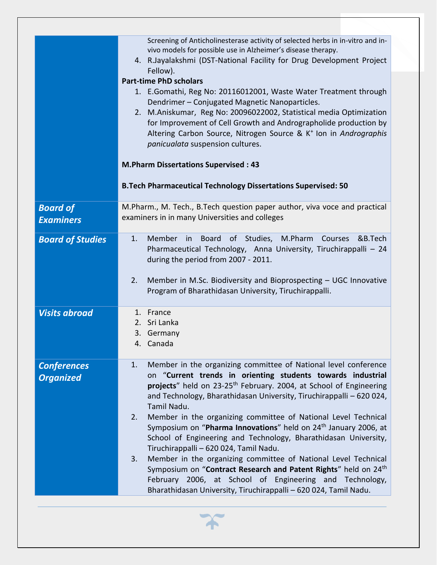|                                        | Screening of Anticholinesterase activity of selected herbs in in-vitro and in-<br>vivo models for possible use in Alzheimer's disease therapy.<br>4. R.Jayalakshmi (DST-National Facility for Drug Development Project<br>Fellow).<br><b>Part-time PhD scholars</b><br>1. E.Gomathi, Reg No: 20116012001, Waste Water Treatment through<br>Dendrimer - Conjugated Magnetic Nanoparticles.<br>2. M.Aniskumar, Reg No: 20096022002, Statistical media Optimization<br>for Improvement of Cell Growth and Andrographolide production by<br>Altering Carbon Source, Nitrogen Source & K <sup>+</sup> Ion in Andrographis<br>panicualata suspension cultures.<br><b>M.Pharm Dissertations Supervised: 43</b><br><b>B.Tech Pharmaceutical Technology Dissertations Supervised: 50</b>                                                                             |
|----------------------------------------|-------------------------------------------------------------------------------------------------------------------------------------------------------------------------------------------------------------------------------------------------------------------------------------------------------------------------------------------------------------------------------------------------------------------------------------------------------------------------------------------------------------------------------------------------------------------------------------------------------------------------------------------------------------------------------------------------------------------------------------------------------------------------------------------------------------------------------------------------------------|
|                                        |                                                                                                                                                                                                                                                                                                                                                                                                                                                                                                                                                                                                                                                                                                                                                                                                                                                             |
| <b>Board of</b><br><b>Examiners</b>    | M.Pharm., M. Tech., B.Tech question paper author, viva voce and practical<br>examiners in in many Universities and colleges                                                                                                                                                                                                                                                                                                                                                                                                                                                                                                                                                                                                                                                                                                                                 |
| <b>Board of Studies</b>                | Member<br>Board of Studies, M.Pharm<br>1.<br>in<br>Courses<br>&B.Tech<br>Pharmaceutical Technology, Anna University, Tiruchirappalli - 24<br>during the period from 2007 - 2011.<br>2.<br>Member in M.Sc. Biodiversity and Bioprospecting - UGC Innovative<br>Program of Bharathidasan University, Tiruchirappalli.                                                                                                                                                                                                                                                                                                                                                                                                                                                                                                                                         |
| <b>Visits abroad</b>                   | 1. France<br>2. Sri Lanka<br>3. Germany<br>4. Canada                                                                                                                                                                                                                                                                                                                                                                                                                                                                                                                                                                                                                                                                                                                                                                                                        |
| <b>Conferences</b><br><b>Organized</b> | Member in the organizing committee of National level conference<br>1.<br>on "Current trends in orienting students towards industrial<br>projects" held on 23-25 <sup>th</sup> February. 2004, at School of Engineering<br>and Technology, Bharathidasan University, Tiruchirappalli - 620 024,<br>Tamil Nadu.<br>Member in the organizing committee of National Level Technical<br>2.<br>Symposium on "Pharma Innovations" held on 24 <sup>th</sup> January 2006, at<br>School of Engineering and Technology, Bharathidasan University,<br>Tiruchirappalli - 620 024, Tamil Nadu.<br>Member in the organizing committee of National Level Technical<br>3.<br>Symposium on "Contract Research and Patent Rights" held on 24th<br>February 2006, at School of Engineering and Technology,<br>Bharathidasan University, Tiruchirappalli - 620 024, Tamil Nadu. |

 $\boldsymbol{\gamma}$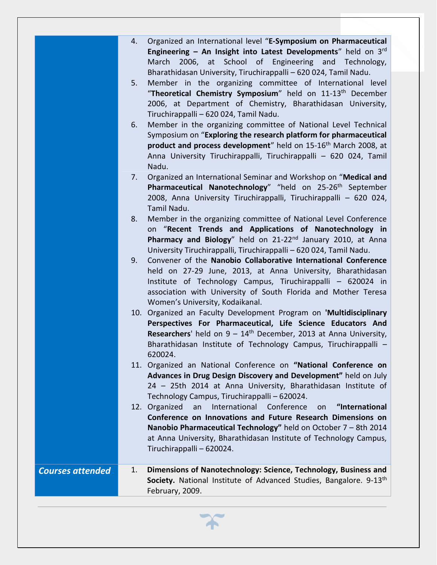- 4. Organized an International level "**E-Symposium on Pharmaceutical Engineering – An Insight into Latest Developments**" held on 3rd March 2006, at School of Engineering and Technology, Bharathidasan University, Tiruchirappalli – 620 024, Tamil Nadu.
- 5. Member in the organizing committee of International level "**Theoretical Chemistry Symposium**" held on 11-13th December 2006, at Department of Chemistry, Bharathidasan University, Tiruchirappalli – 620 024, Tamil Nadu.
- 6. Member in the organizing committee of National Level Technical Symposium on "**Exploring the research platform for pharmaceutical product and process development**" held on 15-16<sup>th</sup> March 2008, at Anna University Tiruchirappalli, Tiruchirappalli – 620 024, Tamil Nadu.
- 7. Organized an International Seminar and Workshop on "**Medical and**  Pharmaceutical Nanotechnology" "held on 25-26<sup>th</sup> September 2008, Anna University Tiruchirappalli, Tiruchirappalli – 620 024, Tamil Nadu.
- 8. Member in the organizing committee of National Level Conference on "**Recent Trends and Applications of Nanotechnology in**  Pharmacy and Biology" held on 21-22<sup>nd</sup> January 2010, at Anna University Tiruchirappalli, Tiruchirappalli – 620 024, Tamil Nadu.
- 9. Convener of the **Nanobio Collaborative International Conference** held on 27-29 June, 2013, at Anna University, Bharathidasan Institute of Technology Campus, Tiruchirappalli – 620024 in association with University of South Florida and Mother Teresa Women's University, Kodaikanal.
- 10. Organized an Faculty Development Program on **'Multidisciplinary Perspectives For Pharmaceutical, Life Science Educators And Researchers'** held on 9 – 14<sup>th</sup> December, 2013 at Anna University, Bharathidasan Institute of Technology Campus, Tiruchirappalli – 620024.
- 11. Organized an National Conference on **"National Conference on Advances in Drug Design Discovery and Development"** held on July 24 – 25th 2014 at Anna University, Bharathidasan Institute of Technology Campus, Tiruchirappalli – 620024.
- 12. Organized an International Conference on **"International Conference on Innovations and Future Research Dimensions on Nanobio Pharmaceutical Technology"** held on October 7 – 8th 2014 at Anna University, Bharathidasan Institute of Technology Campus, Tiruchirappalli – 620024.

*Courses attended* 1. **Dimensions of Nanotechnology: Science, Technology, Business and Society.** National Institute of Advanced Studies, Bangalore. 9-13<sup>th</sup> February, 2009.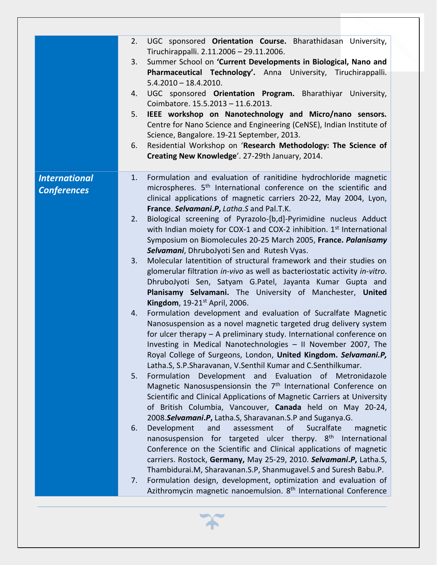|                                            | UGC sponsored Orientation Course. Bharathidasan University,<br>2.<br>Tiruchirappalli. 2.11.2006 - 29.11.2006.                                                                                                                                                                                                                                                    |
|--------------------------------------------|------------------------------------------------------------------------------------------------------------------------------------------------------------------------------------------------------------------------------------------------------------------------------------------------------------------------------------------------------------------|
|                                            | Summer School on 'Current Developments in Biological, Nano and<br>3.<br>Pharmaceutical Technology'. Anna University, Tiruchirappalli.                                                                                                                                                                                                                            |
|                                            | $5.4.2010 - 18.4.2010.$<br>UGC sponsored Orientation Program. Bharathiyar University,<br>4.                                                                                                                                                                                                                                                                      |
|                                            | Coimbatore. 15.5.2013 - 11.6.2013.<br>IEEE workshop on Nanotechnology and Micro/nano sensors.<br>5.                                                                                                                                                                                                                                                              |
|                                            | Centre for Nano Science and Engineering (CeNSE), Indian Institute of<br>Science, Bangalore. 19-21 September, 2013.                                                                                                                                                                                                                                               |
|                                            | Residential Workshop on 'Research Methodology: The Science of<br>6.                                                                                                                                                                                                                                                                                              |
|                                            | Creating New Knowledge'. 27-29th January, 2014.                                                                                                                                                                                                                                                                                                                  |
| <b>International</b><br><b>Conferences</b> | Formulation and evaluation of ranitidine hydrochloride magnetic<br>1.<br>microspheres. 5 <sup>th</sup> International conference on the scientific and<br>clinical applications of magnetic carriers 20-22, May 2004, Lyon,<br>France. Selvamani.P, Latha.S and Pal.T.K.                                                                                          |
|                                            | Biological screening of Pyrazolo-[b,d]-Pyrimidine nucleus Adduct<br>2.<br>with Indian moiety for COX-1 and COX-2 inhibition. 1 <sup>st</sup> International<br>Symposium on Biomolecules 20-25 March 2005, France. Palanisamy<br>Selvamani, DhruboJyoti Sen and Rutesh Vyas.                                                                                      |
|                                            | Molecular latentition of structural framework and their studies on<br>3.<br>glomerular filtration in-vivo as well as bacteriostatic activity in-vitro.<br>DhruboJyoti Sen, Satyam G.Patel, Jayanta Kumar Gupta and<br>Planisamy Selvamani. The University of Manchester, United                                                                                  |
|                                            | Kingdom, 19-21 <sup>st</sup> April, 2006.<br>Formulation development and evaluation of Sucralfate Magnetic<br>4.<br>Nanosuspension as a novel magnetic targeted drug delivery system<br>for ulcer therapy - A preliminary study. International conference on<br>Investing in Medical Nanotechnologies - II November 2007, The                                    |
|                                            | Royal College of Surgeons, London, United Kingdom. Selvamani.P,<br>Latha.S, S.P.Sharavanan, V.Senthil Kumar and C.Senthilkumar.                                                                                                                                                                                                                                  |
|                                            | Development and Evaluation of Metronidazole<br>Formulation<br>5.<br>Magnetic Nanosuspensionsin the 7 <sup>th</sup> International Conference on<br>Scientific and Clinical Applications of Magnetic Carriers at University<br>of British Columbia, Vancouver, Canada held on May 20-24,<br>2008.Selvamani.P, Latha.S, Sharavanan.S.P and Suganya.G.               |
|                                            | Development<br>of<br>Sucralfate<br>and<br>assessment<br>6.<br>magnetic<br>nanosuspension for targeted ulcer therpy. 8 <sup>th</sup> International<br>Conference on the Scientific and Clinical applications of magnetic<br>carriers. Rostock, Germany, May 25-29, 2010. Selvamani.P, Latha.S,<br>Thambidurai.M, Sharavanan.S.P, Shanmugavel.S and Suresh Babu.P. |
|                                            | Formulation design, development, optimization and evaluation of<br>7.<br>Azithromycin magnetic nanoemulsion. 8 <sup>th</sup> International Conference                                                                                                                                                                                                            |

 $\boldsymbol{\varkappa}$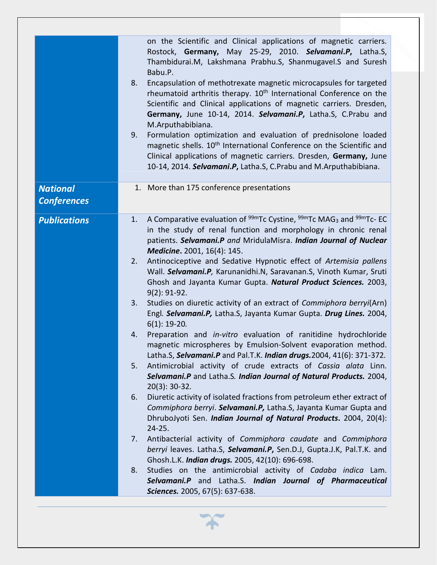|                                       | on the Scientific and Clinical applications of magnetic carriers.<br>Rostock, Germany, May 25-29, 2010. Selvamani.P, Latha.S,<br>Thambidurai.M, Lakshmana Prabhu.S, Shanmugavel.S and Suresh<br>Babu.P.<br>Encapsulation of methotrexate magnetic microcapsules for targeted<br>8.<br>rheumatoid arthritis therapy. 10 <sup>th</sup> International Conference on the<br>Scientific and Clinical applications of magnetic carriers. Dresden,<br>Germany, June 10-14, 2014. Selvamani.P, Latha.S, C.Prabu and<br>M.Arputhabibiana.<br>9.<br>Formulation optimization and evaluation of prednisolone loaded<br>magnetic shells. 10 <sup>th</sup> International Conference on the Scientific and<br>Clinical applications of magnetic carriers. Dresden, Germany, June<br>10-14, 2014. Selvamani.P, Latha.S, C.Prabu and M.Arputhabibiana.                                                                                                                                                                                                                                                                                                                                                                                                                                                                                                                                                                                                                                                                                                                                                                                                                                                                        |
|---------------------------------------|---------------------------------------------------------------------------------------------------------------------------------------------------------------------------------------------------------------------------------------------------------------------------------------------------------------------------------------------------------------------------------------------------------------------------------------------------------------------------------------------------------------------------------------------------------------------------------------------------------------------------------------------------------------------------------------------------------------------------------------------------------------------------------------------------------------------------------------------------------------------------------------------------------------------------------------------------------------------------------------------------------------------------------------------------------------------------------------------------------------------------------------------------------------------------------------------------------------------------------------------------------------------------------------------------------------------------------------------------------------------------------------------------------------------------------------------------------------------------------------------------------------------------------------------------------------------------------------------------------------------------------------------------------------------------------------------------------------|
| <b>National</b><br><b>Conferences</b> | 1. More than 175 conference presentations                                                                                                                                                                                                                                                                                                                                                                                                                                                                                                                                                                                                                                                                                                                                                                                                                                                                                                                                                                                                                                                                                                                                                                                                                                                                                                                                                                                                                                                                                                                                                                                                                                                                     |
| <b>Publications</b>                   | A Comparative evaluation of <sup>99m</sup> Tc Cystine, <sup>99m</sup> Tc MAG <sub>3</sub> and <sup>99m</sup> Tc- EC<br>1.<br>in the study of renal function and morphology in chronic renal<br>patients. Selvamani.P and MridulaMisra. Indian Journal of Nuclear<br>Medicine. 2001, 16(4): 145.<br>Antinociceptive and Sedative Hypnotic effect of Artemisia pallens<br>2.<br>Wall. Selvamani.P, Karunanidhi.N, Saravanan.S, Vinoth Kumar, Sruti<br>Ghosh and Jayanta Kumar Gupta. Natural Product Sciences. 2003,<br>$9(2): 91-92.$<br>Studies on diuretic activity of an extract of Commiphora berryi(Arn)<br>3.<br>Engl. Selvamani.P, Latha.S, Jayanta Kumar Gupta. Drug Lines. 2004,<br>$6(1)$ : 19-20.<br>Preparation and in-vitro evaluation of ranitidine hydrochloride<br>4.<br>magnetic microspheres by Emulsion-Solvent evaporation method.<br>Latha.S, Selvamani.P and Pal.T.K. Indian drugs. 2004, 41(6): 371-372.<br>Antimicrobial activity of crude extracts of Cassia alata Linn.<br>5.<br>Selvamani.P and Latha.S. Indian Journal of Natural Products. 2004,<br>$20(3): 30-32.$<br>Diuretic activity of isolated fractions from petroleum ether extract of<br>6.<br>Commiphora berryi. Selvamani.P, Latha.S, Jayanta Kumar Gupta and<br>DhruboJyoti Sen. Indian Journal of Natural Products. 2004, 20(4):<br>$24 - 25.$<br>Antibacterial activity of Commiphora caudate and Commiphora<br>7.<br>berryi leaves. Latha.S, Selvamani.P, Sen.D.J, Gupta.J.K, Pal.T.K. and<br>Ghosh.L.K. Indian drugs. 2005, 42(10): 696-698.<br>Studies on the antimicrobial activity of Cadaba indica Lam.<br>8.<br>Selvamani.P and Latha.S. Indian Journal of Pharmaceutical<br>Sciences. 2005, 67(5): 637-638. |

 $\boldsymbol{\mathcal{F}}$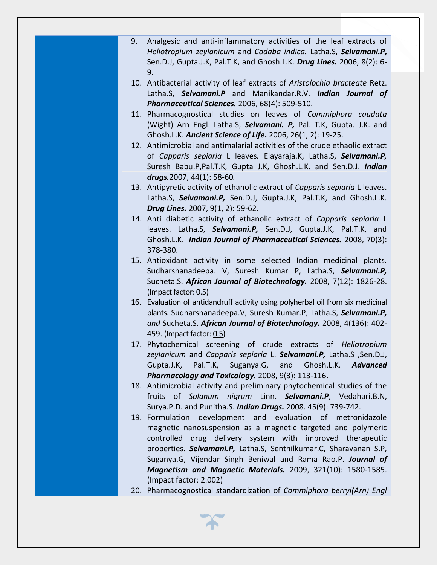- 9. Analgesic and anti-inflammatory activities of the leaf extracts of *Heliotropium zeylanicum* and *Cadaba indica.* Latha.S, *Selvamani.P***,** Sen.D.J, Gupta.J.K, Pal.T.K, and Ghosh.L.K. *Drug Lines.* 2006, 8(2): 6- 9.
- 10. Antibacterial activity of leaf extracts of *Aristolochia bracteate* Retz. Latha.S, *Selvamani.P* and Manikandar.R.V. *Indian Journal of Pharmaceutical Sciences.* 2006, 68(4): 509-510.
- 11. Pharmacognostical studies on leaves of *Commiphora caudata* (Wight) Arn Engl. Latha.S, *Selvamani. P,* Pal. T.K, Gupta. J.K. and Ghosh.L.K. *Ancient Science of Life***.** 2006, 26(1, 2): 19-25.
- 12. Antimicrobial and antimalarial activities of the crude ethaolic extract of *Capparis sepiaria* L leaves*.* Elayaraja.K, Latha.S, *Selvamani.P,*  Suresh Babu.P,Pal.T.K*,* Gupta J.K, Ghosh.L.K. and Sen.D.J. *Indian drugs.*2007, 44(1): 58-60*.*
- 13. Antipyretic activity of ethanolic extract of *Capparis sepiaria* L leaves. Latha.S, *Selvamani.P,* Sen.D.J, Gupta.J.K, Pal.T.K, and Ghosh.L.K. *Drug Lines.* 2007, 9(1, 2): 59-62.
- 14. Anti diabetic activity of ethanolic extract of *Capparis sepiaria* L leaves. Latha.S, *Selvamani.P,* Sen.D.J, Gupta.J.K, Pal.T.K, and Ghosh.L.K. *Indian Journal of Pharmaceutical Sciences.* 2008, 70(3): 378-380.
- 15. Antioxidant activity in some selected Indian medicinal plants. Sudharshanadeepa. V, Suresh Kumar P, Latha.S, *Selvamani.P,* Sucheta.S. *African Journal of Biotechnology.* 2008, 7(12): 1826-28. (Impact factor: 0.5)
- 16. Evaluation of antidandruff activity using polyherbal oil from six medicinal plants. Sudharshanadeepa.V, Suresh Kumar.P, Latha.S, *Selvamani.P, and* Sucheta.S. *African Journal of Biotechnology.* 2008, 4(136): 402- 459. (Impact factor: 0.5)
- 17. Phytochemical screening of crude extracts of *Heliotropium zeylanicum* and *Capparis sepiaria* L. *Selvamani.P,* Latha.S ,Sen.D.J, Gupta.J.K, Pal.T.K, Suganya.G, and Ghosh.L.K. *Advanced Pharmacology and Toxicology.* 2008, 9(3): 113-116.
- 18. Antimicrobial activity and preliminary phytochemical studies of the fruits of *Solanum nigrum* Linn. *Selvamani.P*, Vedahari.B.N, Surya.P.D. and Punitha.S. *Indian Drugs.* 2008. 45(9): 739-742.
- 19. Formulation development and evaluation of metronidazole magnetic nanosuspension as a magnetic targeted and polymeric controlled drug delivery system with improved therapeutic properties. *Selvamani.P,* Latha.S, Senthilkumar.C, Sharavanan S.P, Suganya.G, Vijendar Singh Beniwal and Rama Rao.P. *Journal of Magnetism and Magnetic Materials.* 2009, 321(10): 1580-1585. (Impact factor: 2.002)
- 20. Pharmacognostical standardization of *Commiphora berryi(Arn) Engl*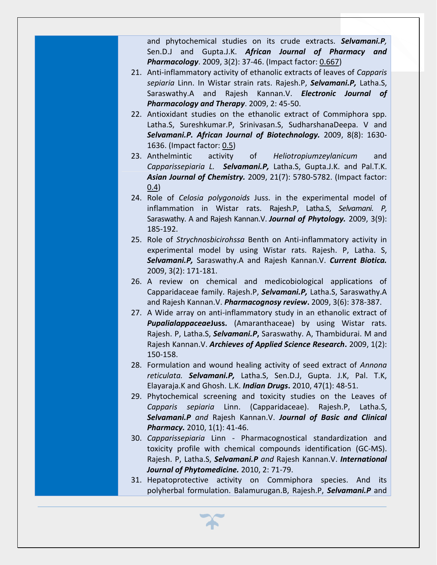and phytochemical studies on its crude extracts. *Selvamani.P,* Sen.D.J and Gupta.J.K. *African Journal of Pharmacy and Pharmacology*. 2009, 3(2): 37-46. (Impact factor: 0.667)

- 21. Anti-inflammatory activity of ethanolic extracts of leaves of *Capparis sepiaria* Linn. In Wistar strain rats. Rajesh.P, *Selvamani.P,* Latha.S, Saraswathy.A and Rajesh Kannan.V. *Electronic Journal of Pharmacology and Therapy*. 2009, 2: 45-50.
- 22. Antioxidant studies on the ethanolic extract of Commiphora spp. Latha.S, Sureshkumar.P, Srinivasan.S, SudharshanaDeepa. V and *Selvamani.P. African Journal of Biotechnology.* 2009, 8(8): 1630- 1636. (Impact factor: 0.5)
- 23. Anthelmintic activity of *Heliotropiumzeylanicum* and *Capparissepiaria L. Selvamani.P,* Latha.S, Gupta.J.K. and Pal.T.K. *Asian Journal of Chemistry.* 2009, 21(7): 5780-5782. (Impact factor: 0.4)
- 24. Role of *Celosia polygonoids* Juss. in the experimental model of inflammation in Wistar rats. Rajesh.P, Latha.S, *Selvamani. P,* Saraswathy. A and Rajesh Kannan.V. *Journal of Phytology.* 2009, 3(9): 185-192.
- 25. Role of *Strychnosbicirohssa* Benth on Anti-inflammatory activity in experimental model by using Wistar rats. Rajesh. P, Latha. S, *Selvamani.P,* Saraswathy.A and Rajesh Kannan.V. *Current Biotica.* 2009, 3(2): 171-181.
- 26. A review on chemical and medicobiological applications of Capparidaceae family. Rajesh.P, *Selvamani.P,* Latha.S, Saraswathy.A and Rajesh Kannan.V. *Pharmacognosy review***.** 2009, 3(6): 378-387.
- 27. A Wide array on anti-inflammatory study in an ethanolic extract of *Pupalialappaceae***Juss.** (Amaranthaceae) by using Wistar rats. Rajesh. P, Latha.S, *Selvamani.P***,** Saraswathy. A, Thambidurai. M and Rajesh Kannan.V. *Archieves of Applied Science Research***.** 2009, 1(2): 150-158.
- 28. Formulation and wound healing activity of seed extract of *Annona reticulata. Selvamani.P,* Latha.S, Sen.D.J, Gupta. J.K, Pal. T.K, Elayaraja.K and Ghosh. L.K. *Indian Drugs***.** 2010, 47(1): 48-51.
- 29. Phytochemical screening and toxicity studies on the Leaves of *Capparis sepiaria* Linn. (Capparidaceae). Rajesh.P, Latha.S, *Selvamani.P and* Rajesh Kannan.V. *Journal of Basic and Clinical Pharmacy.* 2010, 1(1): 41-46.
- 30. *Capparissepiaria* Linn Pharmacognostical standardization and toxicity profile with chemical compounds identification (GC-MS). Rajesh. P, Latha.S, *Selvamani.P and* Rajesh Kannan.V. *International Journal of Phytomedicine.* 2010, 2: 71-79.
- 31. Hepatoprotective activity on Commiphora species. And its polyherbal formulation. Balamurugan.B, Rajesh.P, *Selvamani.P* and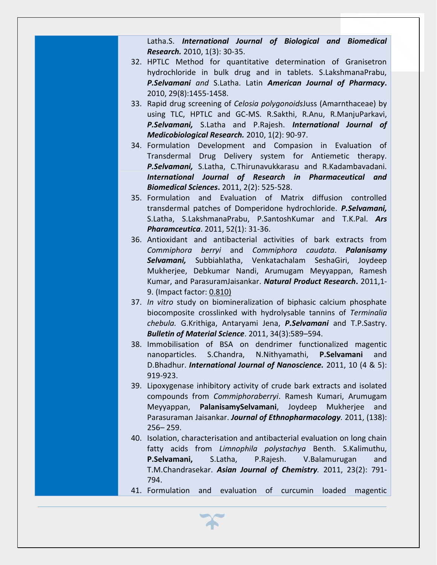Latha.S. *International Journal of Biological and Biomedical Research.* 2010, 1(3): 30-35.

- 32. HPTLC Method for quantitative determination of Granisetron hydrochloride in bulk drug and in tablets. S.LakshmanaPrabu, *P.Selvamani and* S.Latha. Latin *American Journal of Pharmacy***.** 2010, 29(8):1455-1458.
- 33. Rapid drug screening of *Celosia polygonoids*Juss (Amarnthaceae) by using TLC, HPTLC and GC-MS. R.Sakthi, R.Anu, R.ManjuParkavi, *P.Selvamani,* S.Latha and P.Rajesh. *International Journal of Medicobiological Research.* 2010, 1(2): 90-97.
- 34. Formulation Development and Compasion in Evaluation of Transdermal Drug Delivery system for Antiemetic therapy. *P.Selvamani,* S.Latha, C.Thirunavukkarasu and R.Kadambavadani. *International Journal of Research in Pharmaceutical and Biomedical Sciences***.** 2011, 2(2): 525-528.
- 35. Formulation and Evaluation of Matrix diffusion controlled transdermal patches of Domperidone hydrochloride. *P.Selvamani,* S.Latha, S.LakshmanaPrabu, P.SantoshKumar and T.K.Pal. *Ars Pharamceutica*. 2011, 52(1): 31-36.
- 36. Antioxidant and antibacterial activities of bark extracts from *Commiphora berryi* and *Commiphora caudata*. *Palanisamy Selvamani,* Subbiahlatha, Venkatachalam SeshaGiri, Joydeep Mukherjee, Debkumar Nandi, Arumugam Meyyappan, Ramesh Kumar, and ParasuramJaisankar. *Natural Product Research***.** 2011,1- 9. (Impact factor: 0.810)
- 37. *In vitro* study on biomineralization of biphasic calcium phosphate biocomposite crosslinked with hydrolysable tannins of *Terminalia chebula.* G.Krithiga, Antaryami Jena, *P.Selvamani* and T.P.Sastry. *Bulletin of Material Science*. 2011, 34(3):589–594.
- 38. Immobilisation of BSA on dendrimer functionalized magentic nanoparticles. S.Chandra, N.Nithyamathi, **P.Selvamani** and D.Bhadhur. *International Journal of Nanoscience.* 2011, 10 (4 & 5): 919-923.
- 39. Lipoxygenase inhibitory activity of crude bark extracts and isolated compounds from *Commiphoraberryi*. Ramesh Kumari, Arumugam Meyyappan, **PalanisamySelvamani**, Joydeep Mukherjee and Parasuraman Jaisankar. *Journal of Ethnopharmacology.* 2011, (138): 256– 259.
- 40. Isolation, characterisation and antibacterial evaluation on long chain fatty acids from *Limnophila polystachya* Benth. S.Kalimuthu, **P.Selvamani,** S.Latha, P.Rajesh. V.Balamurugan and T.M.Chandrasekar. *Asian Journal of Chemistry.* 2011, 23(2): 791- 794.
- 41. Formulation and evaluation of curcumin loaded magentic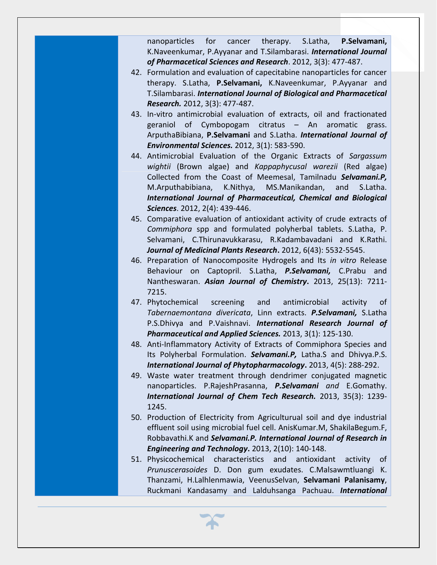nanoparticles for cancer therapy. S.Latha, **P.Selvamani,** K.Naveenkumar, P.Ayyanar and T.Silambarasi. *International Journal of Pharmacetical Sciences and Research*. 2012, 3(3): 477-487.

- 42. Formulation and evaluation of capecitabine nanoparticles for cancer therapy. S.Latha, **P.Selvamani,** K.Naveenkumar, P.Ayyanar and T.Silambarasi. *International Journal of Biological and Pharmacetical Research.* 2012, 3(3): 477-487.
- 43. In-vitro antimicrobial evaluation of extracts, oil and fractionated geraniol of Cymbopogam citratus – An aromatic grass. ArputhaBibiana, **P.Selvamani** and S.Latha. *International Journal of Environmental Sciences.* 2012, 3(1): 583-590.
- 44. Antimicrobial Evaluation of the Organic Extracts of *Sargassum wightii* (Brown algae) and *Kappaphycusal warezii* (Red algae) Collected from the Coast of Meemesal, Tamilnadu *Selvamani.P,*  M.Arputhabibiana, K.Nithya, MS.Manikandan, and S.Latha. *International Journal of Pharmaceutical, Chemical and Biological Sciences*. 2012, 2(4): 439-446.
- 45. Comparative evaluation of antioxidant activity of crude extracts of *Commiphora* spp and formulated polyherbal tablets. S.Latha, P. Selvamani, C.Thirunavukkarasu, R.Kadambavadani and K.Rathi. *Journal of Medicinal Plants Research***.** 2012, 6(43): 5532-5545.
- 46. Preparation of Nanocomposite Hydrogels and Its *in vitro* Release Behaviour on Captopril. S.Latha, *P.Selvamani,* C.Prabu and Nantheswaran. *Asian Journal of Chemistry***.** 2013, 25(13): 7211- 7215.
- 47. Phytochemical screening and antimicrobial activity of *Tabernaemontana divericata*, Linn extracts. *P.Selvamani,* S.Latha P.S.Dhivya and P.Vaishnavi. *International Research Journal of Pharmaceutical and Applied Sciences.* 2013, 3(1): 125-130.
- 48. Anti-Inflammatory Activity of Extracts of Commiphora Species and Its Polyherbal Formulation. *Selvamani.P,* Latha.S and Dhivya.P.S. *International Journal of Phytopharmacology***.** 2013, 4(5): 288-292.
- 49. Waste water treatment through dendrimer conjugated magnetic nanoparticles. P.RajeshPrasanna, *P.Selvamani and* E.Gomathy. *International Journal of Chem Tech Research.* 2013, 35(3): 1239- 1245.
- 50. Production of Electricity from Agriculturual soil and dye industrial effluent soil using microbial fuel cell. AnisKumar.M, ShakilaBegum.F, Robbavathi.K and *Selvamani.P. International Journal of Research in Engineering and Technology***.** 2013, 2(10): 140-148.
- 51. Physicochemical characteristics and antioxidant activity of *Prunuscerasoides* D. Don gum exudates. C.Malsawmtluangi K. Thanzami, H.Lalhlenmawia, VeenusSelvan, **Selvamani Palanisamy**, Ruckmani Kandasamy and Lalduhsanga Pachuau. *International*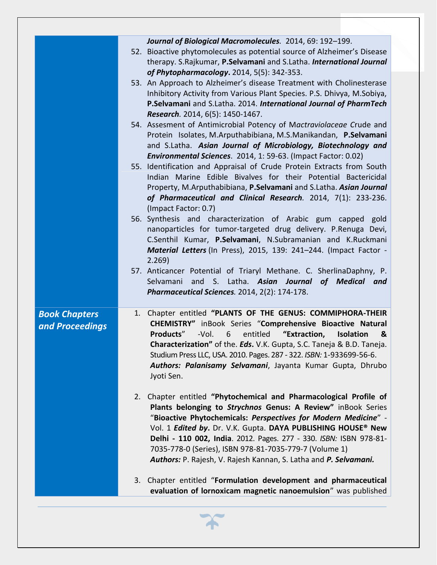|                                         | Journal of Biological Macromolecules. 2014, 69: 192-199.<br>52. Bioactive phytomolecules as potential source of Alzheimer's Disease<br>therapy. S.Rajkumar, P.Selvamani and S.Latha. International Journal<br>of Phytopharmacology. 2014, 5(5): 342-353.<br>53. An Approach to Alzheimer's disease Treatment with Cholinesterase<br>Inhibitory Activity from Various Plant Species. P.S. Dhivya, M.Sobiya,<br>P.Selvamani and S.Latha. 2014. International Journal of PharmTech<br>Research. 2014, 6(5): 1450-1467. |
|-----------------------------------------|---------------------------------------------------------------------------------------------------------------------------------------------------------------------------------------------------------------------------------------------------------------------------------------------------------------------------------------------------------------------------------------------------------------------------------------------------------------------------------------------------------------------|
|                                         | 54. Assesment of Antimicrobial Potency of Mactraviolaceae Crude and<br>Protein Isolates, M.Arputhabibiana, M.S.Manikandan, P.Selvamani<br>and S.Latha. Asian Journal of Microbiology, Biotechnology and<br>Environmental Sciences. 2014, 1: 59-63. (Impact Factor: 0.02)                                                                                                                                                                                                                                            |
|                                         | 55. Identification and Appraisal of Crude Protein Extracts from South<br>Indian Marine Edible Bivalves for their Potential Bactericidal<br>Property, M.Arputhabibiana, P.Selvamani and S.Latha. Asian Journal<br>of Pharmaceutical and Clinical Research. 2014, 7(1): 233-236.<br>(Impact Factor: 0.7)                                                                                                                                                                                                              |
|                                         | 56. Synthesis and characterization of Arabic gum capped<br>gold<br>nanoparticles for tumor-targeted drug delivery. P.Renuga Devi,<br>C.Senthil Kumar, P.Selvamani, N.Subramanian and K.Ruckmani<br>Material Letters (In Press), 2015, 139: 241-244. (Impact Factor -<br>2.269                                                                                                                                                                                                                                       |
|                                         | 57. Anticancer Potential of Triaryl Methane. C. SherlinaDaphny, P.<br>and S. Latha. Asian Journal of Medical and<br>Selvamani<br>Pharmaceutical Sciences. 2014, 2(2): 174-178.                                                                                                                                                                                                                                                                                                                                      |
| <b>Book Chapters</b><br>and Proceedings | Chapter entitled "PLANTS OF THE GENUS: COMMIPHORA-THEIR<br>1.<br>CHEMISTRY" inBook Series "Comprehensive Bioactive Natural<br>"Extraction,<br>Products"<br>-Vol.<br>6<br>entitled<br><b>Isolation</b><br>&<br><b>Characterization"</b> of the. <b>Eds.</b> V.K. Gupta, S.C. Taneja & B.D. Taneja.<br>Studium Press LLC, USA. 2010. Pages. 287 - 322. ISBN: 1-933699-56-6.<br>Authors: Palanisamy Selvamani, Jayanta Kumar Gupta, Dhrubo<br>Jyoti Sen.                                                               |
|                                         | 2. Chapter entitled "Phytochemical and Pharmacological Profile of<br>Plants belonging to Strychnos Genus: A Review" inBook Series<br>"Bioactive Phytochemicals: Perspectives for Modern Medicine" -<br>Vol. 1 Edited by. Dr. V.K. Gupta. DAYA PUBLISHING HOUSE® New<br>Delhi - 110 002, India. 2012. Pages. 277 - 330. ISBN: ISBN 978-81-<br>7035-778-0 (Series), ISBN 978-81-7035-779-7 (Volume 1)<br>Authors: P. Rajesh, V. Rajesh Kannan, S. Latha and P. Selvamani.                                             |
|                                         | 3. Chapter entitled "Formulation development and pharmaceutical<br>evaluation of lornoxicam magnetic nanoemulsion" was published                                                                                                                                                                                                                                                                                                                                                                                    |

 $\boldsymbol{\gamma}$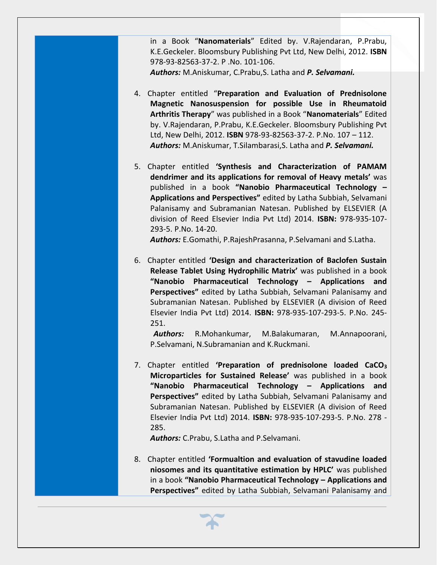in a Book "**Nanomaterials**" Edited by. V.Rajendaran, P.Prabu, K.E.Geckeler. Bloomsbury Publishing Pvt Ltd, New Delhi, 2012. **ISBN** 978-93-82563-37-2. P .No. 101-106.

*Authors:* M.Aniskumar, C.Prabu,S. Latha and *P. Selvamani.*

- 4. Chapter entitled "**Preparation and Evaluation of Prednisolone Magnetic Nanosuspension for possible Use in Rheumatoid Arthritis Therapy**" was published in a Book "**Nanomaterials**" Edited by. V.Rajendaran, P.Prabu, K.E.Geckeler. Bloomsbury Publishing Pvt Ltd, New Delhi, 2012. **ISBN** 978-93-82563-37-2. P.No. 107 – 112. *Authors:* M.Aniskumar, T.Silambarasi,S. Latha and *P. Selvamani.*
- 5. Chapter entitled **'Synthesis and Characterization of PAMAM dendrimer and its applications for removal of Heavy metals'** was published in a book **"Nanobio Pharmaceutical Technology – Applications and Perspectives"** edited by Latha Subbiah, Selvamani Palanisamy and Subramanian Natesan. Published by ELSEVIER (A division of Reed Elsevier India Pvt Ltd) 2014. **ISBN:** 978-935-107- 293-5. P.No. 14-20.

*Authors:* E.Gomathi, P.RajeshPrasanna, P.Selvamani and S.Latha.

6. Chapter entitled **'Design and characterization of Baclofen Sustain Release Tablet Using Hydrophilic Matrix'** was published in a book **"Nanobio Pharmaceutical Technology – Applications and Perspectives"** edited by Latha Subbiah, Selvamani Palanisamy and Subramanian Natesan. Published by ELSEVIER (A division of Reed Elsevier India Pvt Ltd) 2014. **ISBN:** 978-935-107-293-5. P.No. 245- 251.

*Authors:* R.Mohankumar, M.Balakumaran, M.Annapoorani, P.Selvamani, N.Subramanian and K.Ruckmani.

7. Chapter entitled **'Preparation of prednisolone loaded CaCO<sup>3</sup> Microparticles for Sustained Release'** was published in a book **"Nanobio Pharmaceutical Technology – Applications and Perspectives"** edited by Latha Subbiah, Selvamani Palanisamy and Subramanian Natesan. Published by ELSEVIER (A division of Reed Elsevier India Pvt Ltd) 2014. **ISBN:** 978-935-107-293-5. P.No. 278 - 285.

*Authors:* C.Prabu, S.Latha and P.Selvamani.

8. Chapter entitled **'Formualtion and evaluation of stavudine loaded niosomes and its quantitative estimation by HPLC'** was published in a book **"Nanobio Pharmaceutical Technology – Applications and Perspectives"** edited by Latha Subbiah, Selvamani Palanisamy and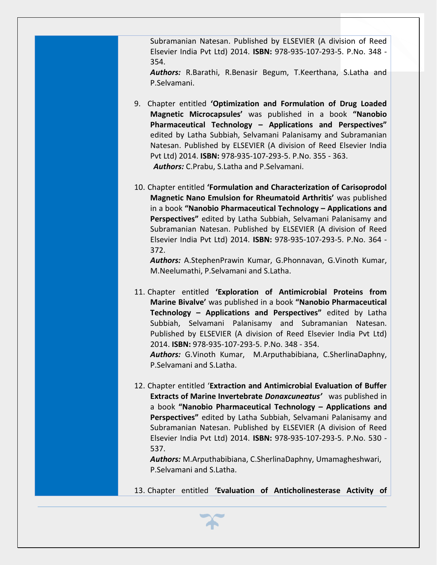Subramanian Natesan. Published by ELSEVIER (A division of Reed Elsevier India Pvt Ltd) 2014. **ISBN:** 978-935-107-293-5. P.No. 348 - 354.

*Authors:* R.Barathi, R.Benasir Begum, T.Keerthana, S.Latha and P.Selvamani.

- 9. Chapter entitled **'Optimization and Formulation of Drug Loaded Magnetic Microcapsules'** was published in a book **"Nanobio Pharmaceutical Technology – Applications and Perspectives"**  edited by Latha Subbiah, Selvamani Palanisamy and Subramanian Natesan. Published by ELSEVIER (A division of Reed Elsevier India Pvt Ltd) 2014. **ISBN:** 978-935-107-293-5. P.No. 355 - 363. *Authors:* C.Prabu, S.Latha and P.Selvamani.
- 10. Chapter entitled **'Formulation and Characterization of Carisoprodol Magnetic Nano Emulsion for Rheumatoid Arthritis'** was published in a book **"Nanobio Pharmaceutical Technology – Applications and Perspectives"** edited by Latha Subbiah, Selvamani Palanisamy and Subramanian Natesan. Published by ELSEVIER (A division of Reed Elsevier India Pvt Ltd) 2014. **ISBN:** 978-935-107-293-5. P.No. 364 - 372.

*Authors:* A.StephenPrawin Kumar, G.Phonnavan, G.Vinoth Kumar, M.Neelumathi, P.Selvamani and S.Latha.

- 11. Chapter entitled **'Exploration of Antimicrobial Proteins from Marine Bivalve'** was published in a book **"Nanobio Pharmaceutical Technology – Applications and Perspectives"** edited by Latha Subbiah, Selvamani Palanisamy and Subramanian Natesan. Published by ELSEVIER (A division of Reed Elsevier India Pvt Ltd) 2014. **ISBN:** 978-935-107-293-5. P.No. 348 - 354. *Authors:* G.Vinoth Kumar, M.Arputhabibiana, C.SherlinaDaphny, P.Selvamani and S.Latha.
- 12. Chapter entitled '**Extraction and Antimicrobial Evaluation of Buffer Extracts of Marine Invertebrate** *Donaxcuneatus'* was published in a book **"Nanobio Pharmaceutical Technology – Applications and Perspectives"** edited by Latha Subbiah, Selvamani Palanisamy and Subramanian Natesan. Published by ELSEVIER (A division of Reed Elsevier India Pvt Ltd) 2014. **ISBN:** 978-935-107-293-5. P.No. 530 - 537.

*Authors:* M.Arputhabibiana, C.SherlinaDaphny, Umamagheshwari, P.Selvamani and S.Latha.

13. Chapter entitled **'Evaluation of Anticholinesterase Activity of**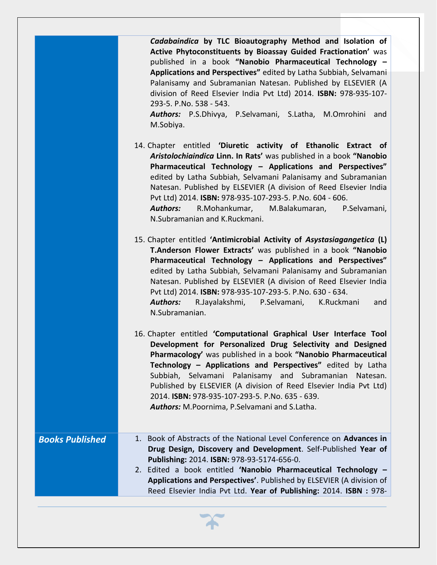*Cadabaindica* **by TLC Bioautography Method and Isolation of Active Phytoconstituents by Bioassay Guided Fractionation'** was published in a book **"Nanobio Pharmaceutical Technology – Applications and Perspectives"** edited by Latha Subbiah, Selvamani Palanisamy and Subramanian Natesan. Published by ELSEVIER (A division of Reed Elsevier India Pvt Ltd) 2014. **ISBN:** 978-935-107- 293-5. P.No. 538 - 543.

*Authors:* P.S.Dhivya, P.Selvamani, S.Latha, M.Omrohini and M.Sobiya.

14. Chapter entitled **'Diuretic activity of Ethanolic Extract of**  *Aristolochiaindica* **Linn. In Rats'** was published in a book **"Nanobio Pharmaceutical Technology – Applications and Perspectives"**  edited by Latha Subbiah, Selvamani Palanisamy and Subramanian Natesan. Published by ELSEVIER (A division of Reed Elsevier India Pvt Ltd) 2014. **ISBN:** 978-935-107-293-5. P.No. 604 - 606. *Authors:* R.Mohankumar, M.Balakumaran, P.Selvamani, N.Subramanian and K.Ruckmani.

15. Chapter entitled **'Antimicrobial Activity of** *Asystasiagangetica* **(L) T.Anderson Flower Extracts'** was published in a book **"Nanobio Pharmaceutical Technology – Applications and Perspectives"**  edited by Latha Subbiah, Selvamani Palanisamy and Subramanian Natesan. Published by ELSEVIER (A division of Reed Elsevier India Pvt Ltd) 2014. **ISBN:** 978-935-107-293-5. P.No. 630 - 634. *Authors:* R.Jayalakshmi, P.Selvamani, K.Ruckmani and N.Subramanian.

16. Chapter entitled **'Computational Graphical User Interface Tool Development for Personalized Drug Selectivity and Designed Pharmacology'** was published in a book **"Nanobio Pharmaceutical Technology – Applications and Perspectives"** edited by Latha Subbiah, Selvamani Palanisamy and Subramanian Natesan. Published by ELSEVIER (A division of Reed Elsevier India Pvt Ltd) 2014. **ISBN:** 978-935-107-293-5. P.No. 635 - 639. *Authors:* M.Poornima, P.Selvamani and S.Latha.

Reed Elsevier India Pvt Ltd. **Year of Publishing:** 2014. **ISBN :** 978-

*Books Published* 1. Book of Abstracts of the National Level Conference on **Advances in Drug Design, Discovery and Development**. Self-Published **Year of Publishing:** 2014. **ISBN:** 978-93-5174-656-0. 2. Edited a book entitled **'Nanobio Pharmaceutical Technology – Applications and Perspectives'**. Published by ELSEVIER (A division of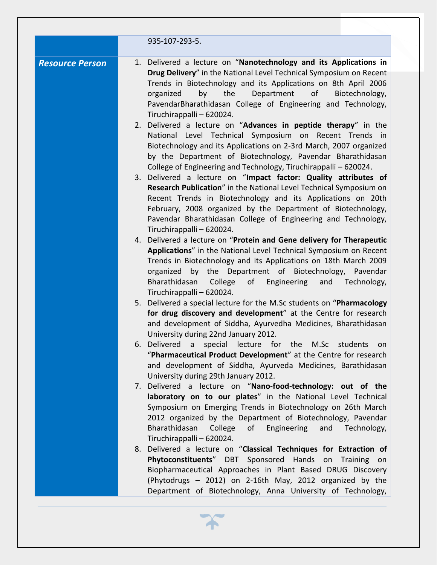|                        | 935-107-293-5.                                                                                                                                                                                                                                                                                                                                                             |
|------------------------|----------------------------------------------------------------------------------------------------------------------------------------------------------------------------------------------------------------------------------------------------------------------------------------------------------------------------------------------------------------------------|
| <b>Resource Person</b> | 1. Delivered a lecture on "Nanotechnology and its Applications in<br>Drug Delivery" in the National Level Technical Symposium on Recent<br>Trends in Biotechnology and its Applications on 8th April 2006<br>by<br>the<br>Department<br>organized<br>οf<br>Biotechnology,<br>PavendarBharathidasan College of Engineering and Technology,<br>Tiruchirappalli - 620024.     |
|                        | 2. Delivered a lecture on "Advances in peptide therapy" in the<br>National Level Technical Symposium on Recent Trends in<br>Biotechnology and its Applications on 2-3rd March, 2007 organized<br>by the Department of Biotechnology, Pavendar Bharathidasan<br>College of Engineering and Technology, Tiruchirappalli - 620024.                                            |
|                        | 3. Delivered a lecture on "Impact factor: Quality attributes of<br>Research Publication" in the National Level Technical Symposium on<br>Recent Trends in Biotechnology and its Applications on 20th<br>February, 2008 organized by the Department of Biotechnology,<br>Pavendar Bharathidasan College of Engineering and Technology,<br>Tiruchirappalli - 620024.         |
|                        | 4. Delivered a lecture on "Protein and Gene delivery for Therapeutic<br>Applications" in the National Level Technical Symposium on Recent<br>Trends in Biotechnology and its Applications on 18th March 2009<br>organized by the Department of Biotechnology, Pavendar<br>Bharathidasan<br>College<br>of<br>Engineering<br>and<br>Technology,<br>Tiruchirappalli - 620024. |
|                        | 5. Delivered a special lecture for the M.Sc students on "Pharmacology<br>for drug discovery and development" at the Centre for research<br>and development of Siddha, Ayurvedha Medicines, Bharathidasan<br>University during 22nd January 2012.                                                                                                                           |
|                        | 6. Delivered a special lecture for the M.Sc students<br>on on<br>"Pharmaceutical Product Development" at the Centre for research<br>and development of Siddha, Ayurveda Medicines, Barathidasan<br>University during 29th January 2012.                                                                                                                                    |
|                        | 7. Delivered a lecture on "Nano-food-technology: out of the<br>laboratory on to our plates" in the National Level Technical<br>Symposium on Emerging Trends in Biotechnology on 26th March<br>2012 organized by the Department of Biotechnology, Pavendar<br>Bharathidasan<br>College of Engineering<br>and<br>Technology,                                                 |
|                        | Tiruchirappalli - 620024.<br>8. Delivered a lecture on "Classical Techniques for Extraction of<br>Phytoconstituents" DBT Sponsored Hands on Training on<br>Biopharmaceutical Approaches in Plant Based DRUG Discovery<br>(Phytodrugs - 2012) on 2-16th May, 2012 organized by the<br>Department of Biotechnology, Anna University of Technology,                           |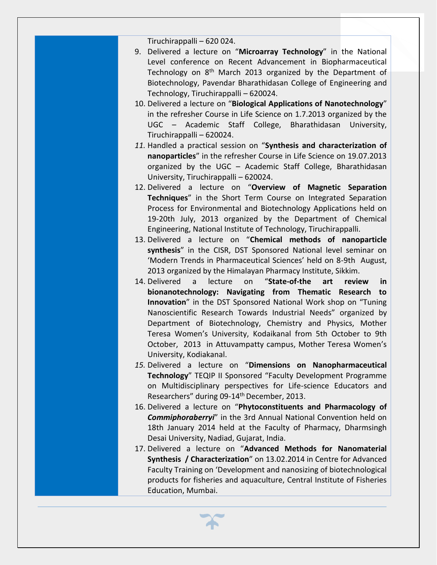Tiruchirappalli – 620 024.

- 9. Delivered a lecture on "**Microarray Technology**" in the National Level conference on Recent Advancement in Biopharmaceutical Technology on  $8<sup>th</sup>$  March 2013 organized by the Department of Biotechnology, Pavendar Bharathidasan College of Engineering and Technology, Tiruchirappalli – 620024.
- 10. Delivered a lecture on "**Biological Applications of Nanotechnology**" in the refresher Course in Life Science on 1.7.2013 organized by the UGC – Academic Staff College, Bharathidasan University, Tiruchirappalli – 620024.
- *11.* Handled a practical session on "**Synthesis and characterization of nanoparticles**" in the refresher Course in Life Science on 19.07.2013 organized by the UGC – Academic Staff College, Bharathidasan University, Tiruchirappalli – 620024.
- 12. Delivered a lecture on "**Overview of Magnetic Separation Techniques**" in the Short Term Course on Integrated Separation Process for Environmental and Biotechnology Applications held on 19-20th July, 2013 organized by the Department of Chemical Engineering, National Institute of Technology, Tiruchirappalli.
- 13. Delivered a lecture on "**Chemical methods of nanoparticle synthesis**" in the CISR, DST Sponsored National level seminar on 'Modern Trends in Pharmaceutical Sciences' held on 8-9th August, 2013 organized by the Himalayan Pharmacy Institute, Sikkim.
- 14. Delivered a lecture on "**State-of-the art review in bionanotechnology: Navigating from Thematic Research to Innovation**" in the DST Sponsored National Work shop on "Tuning Nanoscientific Research Towards Industrial Needs" organized by Department of Biotechnology, Chemistry and Physics, Mother Teresa Women's University, Kodaikanal from 5th October to 9th October, 2013 in Attuvampatty campus, Mother Teresa Women's University, Kodiakanal.
- *15.* Delivered a lecture on "**Dimensions on Nanopharmaceutical Technology**" TEQIP II Sponsored "Faculty Development Programme on Multidisciplinary perspectives for Life-science Educators and Researchers" during 09-14<sup>th</sup> December, 2013.
- 16. Delivered a lecture on "**Phytoconstituents and Pharmacology of**  *Commiphoraberryi*" in the 3rd Annual National Convention held on 18th January 2014 held at the Faculty of Pharmacy, Dharmsingh Desai University, Nadiad, Gujarat, India.
- 17. Delivered a lecture on "**Advanced Methods for Nanomaterial Synthesis / Characterization**" on 13.02.2014 in Centre for Advanced Faculty Training on 'Development and nanosizing of biotechnological products for fisheries and aquaculture, Central Institute of Fisheries Education, Mumbai.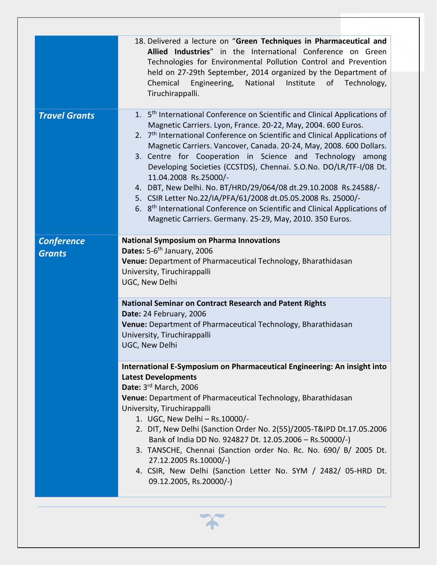| 18. Delivered a lecture on "Green Techniques in Pharmaceutical and<br>Allied Industries" in the International Conference on Green<br>Technologies for Environmental Pollution Control and Prevention<br>held on 27-29th September, 2014 organized by the Department of<br>Chemical<br>Engineering, National Institute<br>of Technology,<br>Tiruchirappalli.                                                                                                                                                                                                                                                                                                                                                                                                                    |
|--------------------------------------------------------------------------------------------------------------------------------------------------------------------------------------------------------------------------------------------------------------------------------------------------------------------------------------------------------------------------------------------------------------------------------------------------------------------------------------------------------------------------------------------------------------------------------------------------------------------------------------------------------------------------------------------------------------------------------------------------------------------------------|
| 1. 5 <sup>th</sup> International Conference on Scientific and Clinical Applications of<br>Magnetic Carriers. Lyon, France. 20-22, May, 2004. 600 Euros.<br>2. 7 <sup>th</sup> International Conference on Scientific and Clinical Applications of<br>Magnetic Carriers. Vancover, Canada. 20-24, May, 2008. 600 Dollars.<br>3. Centre for Cooperation in Science and Technology among<br>Developing Societies (CCSTDS), Chennai. S.O.No. DO/LR/TF-I/08 Dt.<br>11.04.2008 Rs.25000/-<br>4. DBT, New Delhi. No. BT/HRD/29/064/08 dt.29.10.2008 Rs.24588/-<br>5. CSIR Letter No.22/IA/PFA/61/2008 dt.05.05.2008 Rs. 25000/-<br>6. 8 <sup>th</sup> International Conference on Scientific and Clinical Applications of<br>Magnetic Carriers. Germany. 25-29, May, 2010. 350 Euros. |
| <b>National Symposium on Pharma Innovations</b><br>Dates: 5-6 <sup>th</sup> January, 2006<br>Venue: Department of Pharmaceutical Technology, Bharathidasan<br>University, Tiruchirappalli<br>UGC, New Delhi                                                                                                                                                                                                                                                                                                                                                                                                                                                                                                                                                                    |
| <b>National Seminar on Contract Research and Patent Rights</b><br>Date: 24 February, 2006<br>Venue: Department of Pharmaceutical Technology, Bharathidasan<br>University, Tiruchirappalli<br>UGC, New Delhi                                                                                                                                                                                                                                                                                                                                                                                                                                                                                                                                                                    |
| International E-Symposium on Pharmaceutical Engineering: An insight into<br><b>Latest Developments</b><br>Date: 3rd March, 2006<br>Venue: Department of Pharmaceutical Technology, Bharathidasan<br>University, Tiruchirappalli<br>1. UGC, New Delhi - Rs.10000/-<br>2. DIT, New Delhi (Sanction Order No. 2(55)/2005-T&IPD Dt.17.05.2006<br>Bank of India DD No. 924827 Dt. 12.05.2006 - Rs.50000/-)<br>3. TANSCHE, Chennai (Sanction order No. Rc. No. 690/ B/ 2005 Dt.<br>27.12.2005 Rs.10000/-)<br>4. CSIR, New Delhi (Sanction Letter No. SYM / 2482/ 05-HRD Dt.<br>09.12.2005, Rs.20000/-)                                                                                                                                                                               |
|                                                                                                                                                                                                                                                                                                                                                                                                                                                                                                                                                                                                                                                                                                                                                                                |

 $\boldsymbol{\chi}$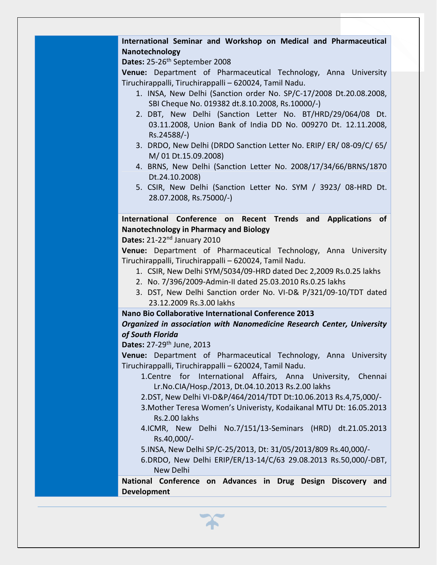## **International Seminar and Workshop on Medical and Pharmaceutical Nanotechnology**

Dates: 25-26<sup>th</sup> September 2008

**Venue:** Department of Pharmaceutical Technology, Anna University Tiruchirappalli, Tiruchirappalli – 620024, Tamil Nadu.

- 1. INSA, New Delhi (Sanction order No. SP/C-17/2008 Dt.20.08.2008, SBI Cheque No. 019382 dt.8.10.2008, Rs.10000/-)
- 2. DBT, New Delhi (Sanction Letter No. BT/HRD/29/064/08 Dt. 03.11.2008, Union Bank of India DD No. 009270 Dt. 12.11.2008, Rs.24588/-)
- 3. DRDO, New Delhi (DRDO Sanction Letter No. ERIP/ ER/ 08-09/C/ 65/ M/ 01 Dt.15.09.2008)
- 4. BRNS, New Delhi (Sanction Letter No. 2008/17/34/66/BRNS/1870 Dt.24.10.2008)
- 5. CSIR, New Delhi (Sanction Letter No. SYM / 3923/ 08-HRD Dt. 28.07.2008, Rs.75000/-)

## **International Conference on Recent Trends and Applications of Nanotechnology in Pharmacy and Biology**

**Dates:** 21-22nd January 2010

**Venue:** Department of Pharmaceutical Technology, Anna University Tiruchirappalli, Tiruchirappalli – 620024, Tamil Nadu.

- 1. CSIR, New Delhi SYM/5034/09-HRD dated Dec 2,2009 Rs.0.25 lakhs
- 2. No. 7/396/2009-Admin-II dated 25.03.2010 Rs.0.25 lakhs
- 3. DST, New Delhi Sanction order No. VI-D& P/321/09-10/TDT dated 23.12.2009 Rs.3.00 lakhs

## **Nano Bio Collaborative International Conference 2013**

## *Organized in association with Nanomedicine Research Center, University of South Florida*

**Dates:** 27-29th June, 2013

**Venue:** Department of Pharmaceutical Technology, Anna University Tiruchirappalli, Tiruchirappalli – 620024, Tamil Nadu.

- 1.Centre for International Affairs, Anna University, Chennai Lr.No.CIA/Hosp./2013, Dt.04.10.2013 Rs.2.00 lakhs
- 2.DST, New Delhi VI-D&P/464/2014/TDT Dt:10.06.2013 Rs.4,75,000/-
- 3.Mother Teresa Women's Univeristy, Kodaikanal MTU Dt: 16.05.2013 Rs.2.00 lakhs
- 4.ICMR, New Delhi No.7/151/13-Seminars (HRD) dt.21.05.2013 Rs.40,000/-
- 5.INSA, New Delhi SP/C-25/2013, Dt: 31/05/2013/809 Rs.40,000/-
- 6.DRDO, New Delhi ERIP/ER/13-14/C/63 29.08.2013 Rs.50,000/-DBT, New Delhi

**National Conference on Advances in Drug Design Discovery and Development**